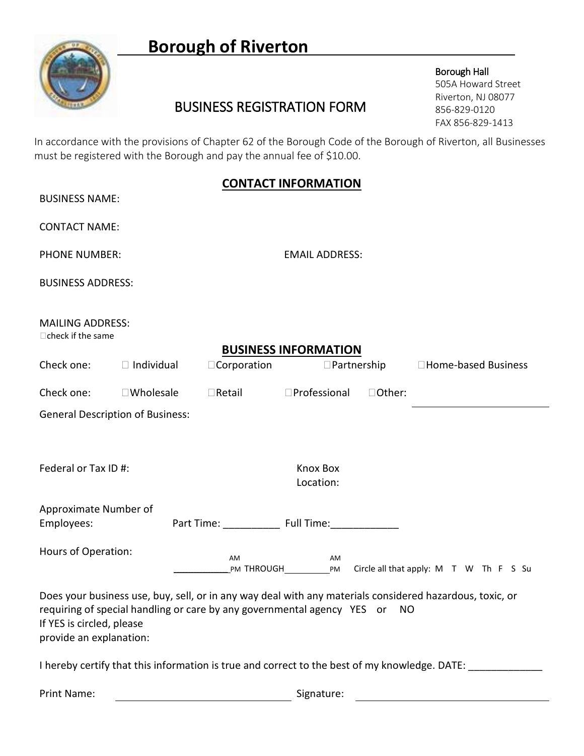# **Borough of Riverton**



## BUSINESS REGISTRATION FORM

Borough Hall 505A Howard Street Riverton, NJ 08077 856-829-0120 FAX 856-829-1413

In accordance with the provisions of Chapter 62 of the Borough Code of the Borough of Riverton, all Businesses must be registered with the Borough and pay the annual fee of \$10.00.

#### **CONTACT INFORMATION**

| <b>BUSINESS NAME:</b>                                |                                         |               | <b>CONTACT INFORMATION</b>                                                                                                                                                             |  |
|------------------------------------------------------|-----------------------------------------|---------------|----------------------------------------------------------------------------------------------------------------------------------------------------------------------------------------|--|
| <b>CONTACT NAME:</b>                                 |                                         |               |                                                                                                                                                                                        |  |
| <b>PHONE NUMBER:</b>                                 |                                         |               | <b>EMAIL ADDRESS:</b>                                                                                                                                                                  |  |
| <b>BUSINESS ADDRESS:</b>                             |                                         |               |                                                                                                                                                                                        |  |
| <b>MAILING ADDRESS:</b><br>□ check if the same       |                                         |               |                                                                                                                                                                                        |  |
|                                                      |                                         |               | <b>BUSINESS INFORMATION</b>                                                                                                                                                            |  |
|                                                      | Check one: $\Box$ Individual            |               | $\Box$ Corporation $\Box$ Partnership<br>□Home-based Business                                                                                                                          |  |
| Check one:                                           | $\square$ Wholesale                     | $\Box$ Retail | $\square$ Professional<br>□Other:                                                                                                                                                      |  |
|                                                      | <b>General Description of Business:</b> |               |                                                                                                                                                                                        |  |
| Federal or Tax ID #:                                 |                                         |               | <b>Knox Box</b><br>Location:                                                                                                                                                           |  |
| Approximate Number of                                |                                         |               |                                                                                                                                                                                        |  |
| Employees:                                           |                                         |               | Part Time: _______________ Full Time: ________________                                                                                                                                 |  |
| <b>Hours of Operation:</b>                           |                                         | AM            | AM                                                                                                                                                                                     |  |
| If YES is circled, please<br>provide an explanation: |                                         |               | Does your business use, buy, sell, or in any way deal with any materials considered hazardous, toxic, or<br>requiring of special handling or care by any governmental agency YES or NO |  |
|                                                      |                                         |               | I hereby certify that this information is true and correct to the best of my knowledge. DATE: ____                                                                                     |  |
| Print Name:                                          |                                         |               | Signature:                                                                                                                                                                             |  |